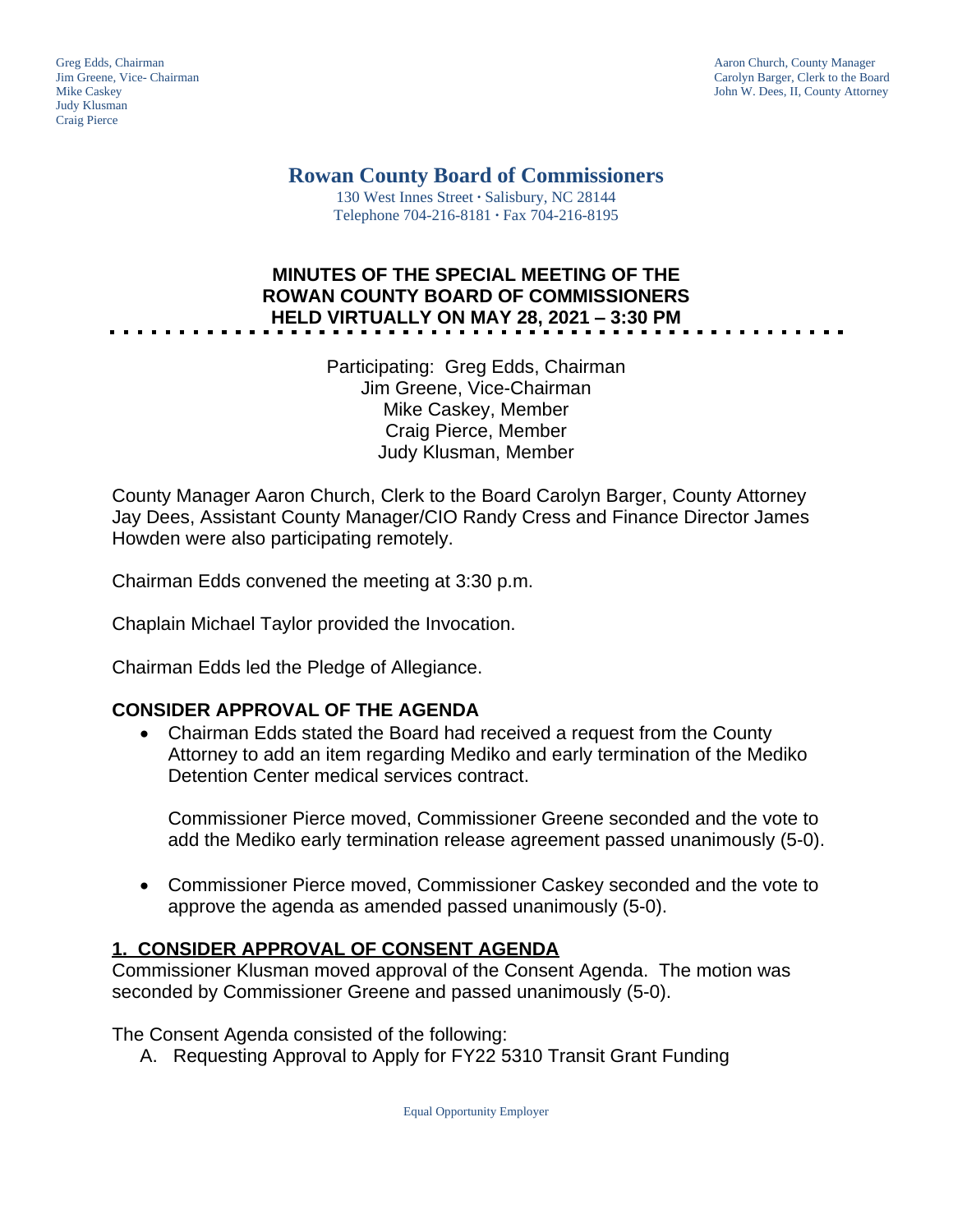Judy Klusman Craig Pierce

Greg Edds, Chairman Aaron Church, County Manager<br>
1989 - Garolyn Barger, Clerk to the Boa<br>
Carolyn Barger, Clerk to the Boa Jim Greene, Vice- Chairman Carolyn Barger, Clerk to the Board John W. Dees, II, County Attorney

> **Rowan County Board of Commissioners** 130 West Innes Street **∙** Salisbury, NC 28144

Telephone 704-216-8181 **∙** Fax 704-216-8195

# **MINUTES OF THE SPECIAL MEETING OF THE ROWAN COUNTY BOARD OF COMMISSIONERS HELD VIRTUALLY ON MAY 28, 2021 – 3:30 PM**

Participating: Greg Edds, Chairman Jim Greene, Vice-Chairman Mike Caskey, Member Craig Pierce, Member Judy Klusman, Member

County Manager Aaron Church, Clerk to the Board Carolyn Barger, County Attorney Jay Dees, Assistant County Manager/CIO Randy Cress and Finance Director James Howden were also participating remotely.

Chairman Edds convened the meeting at 3:30 p.m.

Chaplain Michael Taylor provided the Invocation.

Chairman Edds led the Pledge of Allegiance.

## **CONSIDER APPROVAL OF THE AGENDA**

 Chairman Edds stated the Board had received a request from the County Attorney to add an item regarding Mediko and early termination of the Mediko Detention Center medical services contract.

Commissioner Pierce moved, Commissioner Greene seconded and the vote to add the Mediko early termination release agreement passed unanimously (5-0).

 Commissioner Pierce moved, Commissioner Caskey seconded and the vote to approve the agenda as amended passed unanimously (5-0).

### **1. CONSIDER APPROVAL OF CONSENT AGENDA**

Commissioner Klusman moved approval of the Consent Agenda. The motion was seconded by Commissioner Greene and passed unanimously (5-0).

The Consent Agenda consisted of the following:

A. Requesting Approval to Apply for FY22 5310 Transit Grant Funding